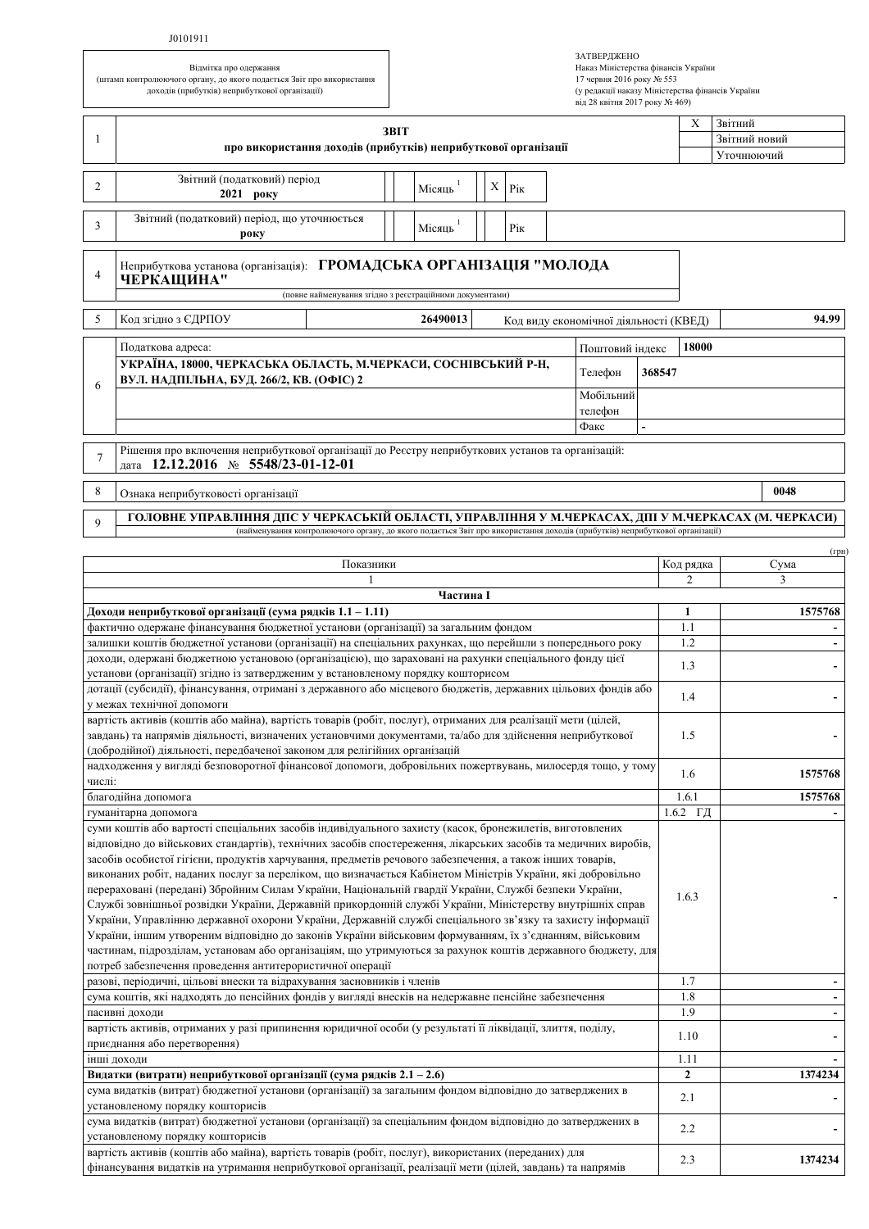## J0101911

Відмітка про одержання (штамп контролюючого органу, до якого подається Звіт про використання доходів (прибутків) неприбуткової організації)

| ЗАТВЕРДЖЕНО                                      |
|--------------------------------------------------|
| Наказ Міністерства фінансів України              |
| 17 червня 2016 року № 553                        |
| (у редакції наказу Міністерства фінансів України |
| від 28 квітня 2017 року № 469)                   |

|                                                                                                                                                                                                                                                                                                                                                                                                                                                                                                                                                                                                                                                                                                                                                                                                                                                                                                                                                                                                                                                                                | 3BIT                                                                                                                                                                                                                               |  |           |   |     |  |  |                                        |            | Звітний<br>X |               |  |  |  |
|--------------------------------------------------------------------------------------------------------------------------------------------------------------------------------------------------------------------------------------------------------------------------------------------------------------------------------------------------------------------------------------------------------------------------------------------------------------------------------------------------------------------------------------------------------------------------------------------------------------------------------------------------------------------------------------------------------------------------------------------------------------------------------------------------------------------------------------------------------------------------------------------------------------------------------------------------------------------------------------------------------------------------------------------------------------------------------|------------------------------------------------------------------------------------------------------------------------------------------------------------------------------------------------------------------------------------|--|-----------|---|-----|--|--|----------------------------------------|------------|--------------|---------------|--|--|--|
| -1                                                                                                                                                                                                                                                                                                                                                                                                                                                                                                                                                                                                                                                                                                                                                                                                                                                                                                                                                                                                                                                                             | про використання доходів (прибутків) неприбуткової організації                                                                                                                                                                     |  |           |   |     |  |  |                                        |            |              | Звітний новий |  |  |  |
|                                                                                                                                                                                                                                                                                                                                                                                                                                                                                                                                                                                                                                                                                                                                                                                                                                                                                                                                                                                                                                                                                |                                                                                                                                                                                                                                    |  |           |   |     |  |  |                                        |            |              | Уточнюючий    |  |  |  |
| 2                                                                                                                                                                                                                                                                                                                                                                                                                                                                                                                                                                                                                                                                                                                                                                                                                                                                                                                                                                                                                                                                              | Звітний (податковий) період<br>2021 року                                                                                                                                                                                           |  | Місяць    | Χ | Pік |  |  |                                        |            |              |               |  |  |  |
| 3                                                                                                                                                                                                                                                                                                                                                                                                                                                                                                                                                                                                                                                                                                                                                                                                                                                                                                                                                                                                                                                                              | Звітний (податковий) період, що уточнюється<br>року                                                                                                                                                                                |  | Місяць    |   | Рік |  |  |                                        |            |              |               |  |  |  |
| $\overline{4}$                                                                                                                                                                                                                                                                                                                                                                                                                                                                                                                                                                                                                                                                                                                                                                                                                                                                                                                                                                                                                                                                 | Неприбуткова установа (організація): ГРОМАДСЬКА ОРГАНІЗАЦІЯ "МОЛОДА<br>ЧЕРКАЩИНА"<br>(повне найменування згідно з реєстраційними документами)                                                                                      |  |           |   |     |  |  |                                        |            |              |               |  |  |  |
| 5                                                                                                                                                                                                                                                                                                                                                                                                                                                                                                                                                                                                                                                                                                                                                                                                                                                                                                                                                                                                                                                                              | Код згідно з ЄДРПОУ                                                                                                                                                                                                                |  | 26490013  |   |     |  |  | Код виду економічної діяльності (КВЕД) |            | 94.99        |               |  |  |  |
| Податкова адреса:<br>Поштовий індекс                                                                                                                                                                                                                                                                                                                                                                                                                                                                                                                                                                                                                                                                                                                                                                                                                                                                                                                                                                                                                                           |                                                                                                                                                                                                                                    |  |           |   |     |  |  |                                        |            | 18000        |               |  |  |  |
| 6                                                                                                                                                                                                                                                                                                                                                                                                                                                                                                                                                                                                                                                                                                                                                                                                                                                                                                                                                                                                                                                                              | УКРАЇНА, 18000, ЧЕРКАСЬКА ОБЛАСТЬ, М.ЧЕРКАСИ, СОСНІВСЬКИЙ Р-Н,<br>Телефон<br>ВУЛ. НАДПІЛЬНА, БУД. 266/2, КВ. (ОФІС) 2<br>Мобільний<br>телефон<br>Факс                                                                              |  |           |   |     |  |  |                                        | 368547     |              |               |  |  |  |
| Рішення про включення неприбуткової організації до Реєстру неприбуткових установ та організацій:<br>7<br>дата 12.12.2016 № 5548/23-01-12-01                                                                                                                                                                                                                                                                                                                                                                                                                                                                                                                                                                                                                                                                                                                                                                                                                                                                                                                                    |                                                                                                                                                                                                                                    |  |           |   |     |  |  |                                        |            |              |               |  |  |  |
| 8                                                                                                                                                                                                                                                                                                                                                                                                                                                                                                                                                                                                                                                                                                                                                                                                                                                                                                                                                                                                                                                                              | Ознака неприбутковості організації                                                                                                                                                                                                 |  |           |   |     |  |  |                                        |            |              | 0048          |  |  |  |
| 9                                                                                                                                                                                                                                                                                                                                                                                                                                                                                                                                                                                                                                                                                                                                                                                                                                                                                                                                                                                                                                                                              | ГОЛОВНЕ УПРАВЛІННЯ ДПС У ЧЕРКАСЬКІЙ ОБЛАСТІ, УПРАВЛІННЯ У М.ЧЕРКАСАХ, ДПІ У М.ЧЕРКАСАХ (М. ЧЕРКАСИ)<br>(найменування контролюючого органу, до якого подається Звіт про використання доходів (прибутків) неприбуткової організації) |  |           |   |     |  |  |                                        |            |              |               |  |  |  |
|                                                                                                                                                                                                                                                                                                                                                                                                                                                                                                                                                                                                                                                                                                                                                                                                                                                                                                                                                                                                                                                                                |                                                                                                                                                                                                                                    |  |           |   |     |  |  |                                        |            |              | $(\Gamma$ ph  |  |  |  |
|                                                                                                                                                                                                                                                                                                                                                                                                                                                                                                                                                                                                                                                                                                                                                                                                                                                                                                                                                                                                                                                                                | Показники                                                                                                                                                                                                                          |  |           |   |     |  |  |                                        |            | Код рядка    | Сума          |  |  |  |
|                                                                                                                                                                                                                                                                                                                                                                                                                                                                                                                                                                                                                                                                                                                                                                                                                                                                                                                                                                                                                                                                                |                                                                                                                                                                                                                                    |  |           |   |     |  |  |                                        |            | 2            | 3             |  |  |  |
|                                                                                                                                                                                                                                                                                                                                                                                                                                                                                                                                                                                                                                                                                                                                                                                                                                                                                                                                                                                                                                                                                |                                                                                                                                                                                                                                    |  | Частина I |   |     |  |  |                                        |            | $\mathbf{1}$ | 1575768       |  |  |  |
|                                                                                                                                                                                                                                                                                                                                                                                                                                                                                                                                                                                                                                                                                                                                                                                                                                                                                                                                                                                                                                                                                | Доходи неприбуткової організації (сума рядків 1.1 – 1.11)<br>фактично одержане фінансування бюджетної установи (організації) за загальним фондом                                                                                   |  |           |   |     |  |  |                                        |            | 1.1          |               |  |  |  |
|                                                                                                                                                                                                                                                                                                                                                                                                                                                                                                                                                                                                                                                                                                                                                                                                                                                                                                                                                                                                                                                                                | залишки коштів бюджетної установи (організації) на спеціальних рахунках, що перейшли з попереднього року                                                                                                                           |  |           |   |     |  |  |                                        |            | 1.2          |               |  |  |  |
|                                                                                                                                                                                                                                                                                                                                                                                                                                                                                                                                                                                                                                                                                                                                                                                                                                                                                                                                                                                                                                                                                | доходи, одержані бюджетною установою (організацією), що зараховані на рахунки спеціального фонду цієї                                                                                                                              |  |           |   |     |  |  |                                        |            |              |               |  |  |  |
|                                                                                                                                                                                                                                                                                                                                                                                                                                                                                                                                                                                                                                                                                                                                                                                                                                                                                                                                                                                                                                                                                | установи (організації) згідно із затвердженим у встановленому порядку кошторисом                                                                                                                                                   |  |           |   |     |  |  |                                        |            | 1.3          |               |  |  |  |
| дотації (субсидії), фінансування, отримані з державного або місцевого бюджетів, державних цільових фондів або                                                                                                                                                                                                                                                                                                                                                                                                                                                                                                                                                                                                                                                                                                                                                                                                                                                                                                                                                                  |                                                                                                                                                                                                                                    |  |           |   |     |  |  |                                        |            | 1.4          |               |  |  |  |
|                                                                                                                                                                                                                                                                                                                                                                                                                                                                                                                                                                                                                                                                                                                                                                                                                                                                                                                                                                                                                                                                                | у межах технічної допомоги                                                                                                                                                                                                         |  |           |   |     |  |  |                                        |            |              |               |  |  |  |
|                                                                                                                                                                                                                                                                                                                                                                                                                                                                                                                                                                                                                                                                                                                                                                                                                                                                                                                                                                                                                                                                                | вартість активів (коштів або майна), вартість товарів (робіт, послуг), отриманих для реалізації мети (цілей,<br>завдань) та напрямів діяльності, визначених установчими документами, та/або для здійснення неприбуткової           |  |           |   |     |  |  |                                        |            | 1.5          |               |  |  |  |
|                                                                                                                                                                                                                                                                                                                                                                                                                                                                                                                                                                                                                                                                                                                                                                                                                                                                                                                                                                                                                                                                                | (добродійної) діяльності, передбаченої законом для релігійних організацій                                                                                                                                                          |  |           |   |     |  |  |                                        |            |              |               |  |  |  |
| числі:                                                                                                                                                                                                                                                                                                                                                                                                                                                                                                                                                                                                                                                                                                                                                                                                                                                                                                                                                                                                                                                                         | надходження у вигляді безповоротної фінансової допомоги, добровільних пожертвувань, милосердя тощо, у тому                                                                                                                         |  |           |   |     |  |  |                                        |            | 1.6          | 1575768       |  |  |  |
|                                                                                                                                                                                                                                                                                                                                                                                                                                                                                                                                                                                                                                                                                                                                                                                                                                                                                                                                                                                                                                                                                | благодійна допомога                                                                                                                                                                                                                |  |           |   |     |  |  |                                        |            | 1.6.1        | 1575768       |  |  |  |
|                                                                                                                                                                                                                                                                                                                                                                                                                                                                                                                                                                                                                                                                                                                                                                                                                                                                                                                                                                                                                                                                                | гуманітарна допомога                                                                                                                                                                                                               |  |           |   |     |  |  |                                        |            | $1.6.2$ ГД   |               |  |  |  |
| суми коштів або вартості спеціальних засобів індивідуального захисту (касок, бронежилетів, виготовлених<br>відповідно до військових стандартів), технічних засобів спостереження, лікарських засобів та медичних виробів,<br>засобів особистої гігієни, продуктів харчування, предметів речового забезпечення, а також інших товарів,<br>виконаних робіт, наданих послуг за переліком, що визначається Кабінетом Міністрів України, які добровільно<br>перераховані (передані) Збройним Силам України, Національній гвардії України, Службі безпеки України,<br>Службі зовнішньої розвідки України, Державній прикордонній службі України, Міністерству внутрішніх справ<br>України, Управлінню державної охорони України, Державній службі спеціального зв'язку та захисту інформації<br>України, іншим утвореним відповідно до законів України військовим формуванням, їх з'єднанням, військовим<br>частинам, підрозділам, установам або організаціям, що утримуються за рахунок коштів державного бюджету, для<br>потреб забезпечення проведення антитерористичної операції |                                                                                                                                                                                                                                    |  |           |   |     |  |  |                                        | 1.6.3      |              |               |  |  |  |
| разові, періодичні, цільові внески та відрахування засновників і членів                                                                                                                                                                                                                                                                                                                                                                                                                                                                                                                                                                                                                                                                                                                                                                                                                                                                                                                                                                                                        |                                                                                                                                                                                                                                    |  |           |   |     |  |  |                                        |            | 1.7          |               |  |  |  |
| сума коштів, які надходять до пенсійних фондів у вигляді внесків на недержавне пенсійне забезпечення                                                                                                                                                                                                                                                                                                                                                                                                                                                                                                                                                                                                                                                                                                                                                                                                                                                                                                                                                                           |                                                                                                                                                                                                                                    |  |           |   |     |  |  |                                        | 1.8<br>1.9 |              |               |  |  |  |
| пасивні доходи<br>вартість активів, отриманих у разі припинення юридичної особи (у результаті її ліквідації, злиття, поділу,                                                                                                                                                                                                                                                                                                                                                                                                                                                                                                                                                                                                                                                                                                                                                                                                                                                                                                                                                   |                                                                                                                                                                                                                                    |  |           |   |     |  |  |                                        |            |              |               |  |  |  |
| приєднання або перетворення)                                                                                                                                                                                                                                                                                                                                                                                                                                                                                                                                                                                                                                                                                                                                                                                                                                                                                                                                                                                                                                                   |                                                                                                                                                                                                                                    |  |           |   |     |  |  |                                        |            | 1.10         |               |  |  |  |
| інші доходи                                                                                                                                                                                                                                                                                                                                                                                                                                                                                                                                                                                                                                                                                                                                                                                                                                                                                                                                                                                                                                                                    |                                                                                                                                                                                                                                    |  |           |   |     |  |  |                                        | 1.11       |              |               |  |  |  |
|                                                                                                                                                                                                                                                                                                                                                                                                                                                                                                                                                                                                                                                                                                                                                                                                                                                                                                                                                                                                                                                                                | Видатки (витрати) неприбуткової організації (сума рядків 2.1 – 2.6)                                                                                                                                                                |  |           |   |     |  |  |                                        |            | $\mathbf{2}$ | 1374234       |  |  |  |
|                                                                                                                                                                                                                                                                                                                                                                                                                                                                                                                                                                                                                                                                                                                                                                                                                                                                                                                                                                                                                                                                                | сума видатків (витрат) бюджетної установи (організації) за загальним фондом відповідно до затверджених в                                                                                                                           |  |           |   |     |  |  |                                        |            | 2.1          |               |  |  |  |
|                                                                                                                                                                                                                                                                                                                                                                                                                                                                                                                                                                                                                                                                                                                                                                                                                                                                                                                                                                                                                                                                                | установленому порядку кошторисів                                                                                                                                                                                                   |  |           |   |     |  |  |                                        |            |              |               |  |  |  |
| сума видатків (витрат) бюджетної установи (організації) за спеціальним фондом відповідно до затверджених в<br>установленому порядку кошторисів                                                                                                                                                                                                                                                                                                                                                                                                                                                                                                                                                                                                                                                                                                                                                                                                                                                                                                                                 |                                                                                                                                                                                                                                    |  |           |   |     |  |  |                                        |            | 2.2          |               |  |  |  |
| вартість активів (коштів або майна), вартість товарів (робіт, послуг), використаних (переданих) для<br>фінансування видатків на утримання неприбуткової організації, реалізації мети (цілей, завдань) та напрямів                                                                                                                                                                                                                                                                                                                                                                                                                                                                                                                                                                                                                                                                                                                                                                                                                                                              |                                                                                                                                                                                                                                    |  |           |   |     |  |  |                                        | 2.3        | 1374234      |               |  |  |  |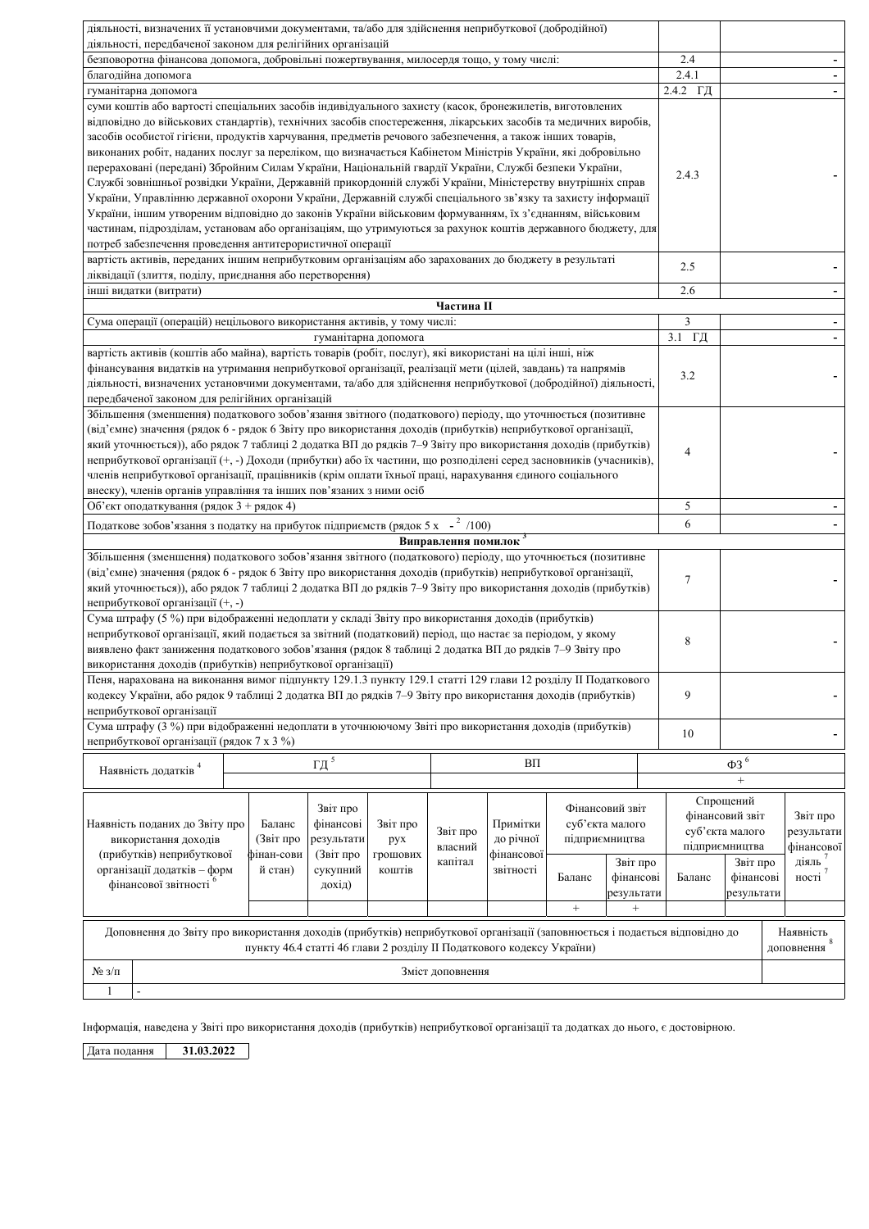| діяльності, визначених її установчими документами, та/або для здійснення неприбуткової (добродійної)<br>діяльності, передбаченої законом для релігійних організацій                                                                                                                                                                                                                                                                                                                                                                                                                                                                                                                                                                                                                                                                                                                                                                                                                                                                                                            |                                                                                                                                                                                                                                                                                                                                                                          |                  |                      |                  |    |                                                                                                                                          |  |                                      |                |  |  |                         |
|--------------------------------------------------------------------------------------------------------------------------------------------------------------------------------------------------------------------------------------------------------------------------------------------------------------------------------------------------------------------------------------------------------------------------------------------------------------------------------------------------------------------------------------------------------------------------------------------------------------------------------------------------------------------------------------------------------------------------------------------------------------------------------------------------------------------------------------------------------------------------------------------------------------------------------------------------------------------------------------------------------------------------------------------------------------------------------|--------------------------------------------------------------------------------------------------------------------------------------------------------------------------------------------------------------------------------------------------------------------------------------------------------------------------------------------------------------------------|------------------|----------------------|------------------|----|------------------------------------------------------------------------------------------------------------------------------------------|--|--------------------------------------|----------------|--|--|-------------------------|
| безповоротна фінансова допомога, добровільні пожертвування, милосердя тощо, у тому числі:                                                                                                                                                                                                                                                                                                                                                                                                                                                                                                                                                                                                                                                                                                                                                                                                                                                                                                                                                                                      |                                                                                                                                                                                                                                                                                                                                                                          |                  |                      |                  |    |                                                                                                                                          |  |                                      | 2.4            |  |  |                         |
| благодійна допомога                                                                                                                                                                                                                                                                                                                                                                                                                                                                                                                                                                                                                                                                                                                                                                                                                                                                                                                                                                                                                                                            |                                                                                                                                                                                                                                                                                                                                                                          |                  |                      |                  |    |                                                                                                                                          |  |                                      | 2.4.1          |  |  |                         |
| гуманітарна допомога                                                                                                                                                                                                                                                                                                                                                                                                                                                                                                                                                                                                                                                                                                                                                                                                                                                                                                                                                                                                                                                           |                                                                                                                                                                                                                                                                                                                                                                          |                  |                      |                  |    |                                                                                                                                          |  |                                      | 2.4.2 ГД       |  |  |                         |
| суми коштів або вартості спеціальних засобів індивідуального захисту (касок, бронежилетів, виготовлених<br>відповідно до військових стандартів), технічних засобів спостереження, лікарських засобів та медичних виробів,<br>засобів особистої гігієни, продуктів харчування, предметів речового забезпечення, а також інших товарів,<br>виконаних робіт, наданих послуг за переліком, що визначається Кабінетом Міністрів України, які добровільно<br>перераховані (передані) Збройним Силам України, Національній гвардії України, Службі безпеки України,<br>Службі зовнішньої розвідки України, Державній прикордонній службі України, Міністерству внутрішніх справ<br>України, Управлінню державної охорони України, Державній службі спеціального зв'язку та захисту інформації<br>України, іншим утвореним відповідно до законів України військовим формуванням, їх з'єднанням, військовим<br>частинам, підрозділам, установам або організаціям, що утримуються за рахунок коштів державного бюджету, для<br>потреб забезпечення проведення антитерористичної операції |                                                                                                                                                                                                                                                                                                                                                                          |                  |                      |                  |    |                                                                                                                                          |  |                                      | 2.4.3          |  |  |                         |
| вартість активів, переданих іншим неприбутковим організаціям або зарахованих до бюджету в результаті<br>2.5                                                                                                                                                                                                                                                                                                                                                                                                                                                                                                                                                                                                                                                                                                                                                                                                                                                                                                                                                                    |                                                                                                                                                                                                                                                                                                                                                                          |                  |                      |                  |    |                                                                                                                                          |  |                                      |                |  |  |                         |
| ліквідації (злиття, поділу, приєднання або перетворення)                                                                                                                                                                                                                                                                                                                                                                                                                                                                                                                                                                                                                                                                                                                                                                                                                                                                                                                                                                                                                       |                                                                                                                                                                                                                                                                                                                                                                          |                  |                      |                  |    |                                                                                                                                          |  |                                      |                |  |  |                         |
| інші видатки (витрати)                                                                                                                                                                                                                                                                                                                                                                                                                                                                                                                                                                                                                                                                                                                                                                                                                                                                                                                                                                                                                                                         |                                                                                                                                                                                                                                                                                                                                                                          |                  |                      |                  |    |                                                                                                                                          |  |                                      | 2.6            |  |  |                         |
|                                                                                                                                                                                                                                                                                                                                                                                                                                                                                                                                                                                                                                                                                                                                                                                                                                                                                                                                                                                                                                                                                |                                                                                                                                                                                                                                                                                                                                                                          |                  |                      | Частина П        |    |                                                                                                                                          |  |                                      |                |  |  |                         |
| Сума операції (операцій) нецільового використання активів, у тому числі:                                                                                                                                                                                                                                                                                                                                                                                                                                                                                                                                                                                                                                                                                                                                                                                                                                                                                                                                                                                                       |                                                                                                                                                                                                                                                                                                                                                                          |                  |                      |                  |    |                                                                                                                                          |  |                                      | 3              |  |  |                         |
|                                                                                                                                                                                                                                                                                                                                                                                                                                                                                                                                                                                                                                                                                                                                                                                                                                                                                                                                                                                                                                                                                |                                                                                                                                                                                                                                                                                                                                                                          |                  | гуманітарна допомога |                  |    |                                                                                                                                          |  |                                      | 3.1 ГД         |  |  |                         |
| вартість активів (коштів або майна), вартість товарів (робіт, послуг), які використані на цілі інші, ніж<br>фінансування видатків на утримання неприбуткової організації, реалізації мети (цілей, завдань) та напрямів<br>діяльності, визначених установчими документами, та/або для здійснення неприбуткової (добродійної) діяльності,                                                                                                                                                                                                                                                                                                                                                                                                                                                                                                                                                                                                                                                                                                                                        |                                                                                                                                                                                                                                                                                                                                                                          |                  |                      |                  |    |                                                                                                                                          |  |                                      | 3.2            |  |  |                         |
| передбаченої законом для релігійних організацій<br>Збільшення (зменшення) податкового зобов'язання звітного (податкового) періоду, що уточнюється (позитивне<br>(від'ємне) значення (рядок 6 - рядок 6 Звіту про використання доходів (прибутків) неприбуткової організації,<br>який уточнюється)), або рядок 7 таблиці 2 додатка ВП до рядків 7-9 Звіту про використання доходів (прибутків)<br>неприбуткової організації (+, -) Доходи (прибутки) або їх частини, що розподілені серед засновників (учасників),<br>членів неприбуткової організації, працівників (крім оплати їхньої праці, нарахування єдиного соціального<br>внеску), членів органів управління та інших пов'язаних з ними осіб                                                                                                                                                                                                                                                                                                                                                                            |                                                                                                                                                                                                                                                                                                                                                                          |                  |                      |                  |    |                                                                                                                                          |  |                                      | $\overline{4}$ |  |  |                         |
| Об'єкт оподаткування (рядок 3 + рядок 4)                                                                                                                                                                                                                                                                                                                                                                                                                                                                                                                                                                                                                                                                                                                                                                                                                                                                                                                                                                                                                                       |                                                                                                                                                                                                                                                                                                                                                                          |                  |                      |                  |    |                                                                                                                                          |  |                                      | 5              |  |  |                         |
| Податкове зобов'язання з податку на прибуток підприємств (рядок 5 х - <sup>2</sup> /100)                                                                                                                                                                                                                                                                                                                                                                                                                                                                                                                                                                                                                                                                                                                                                                                                                                                                                                                                                                                       |                                                                                                                                                                                                                                                                                                                                                                          |                  |                      |                  |    |                                                                                                                                          |  |                                      | 6              |  |  |                         |
|                                                                                                                                                                                                                                                                                                                                                                                                                                                                                                                                                                                                                                                                                                                                                                                                                                                                                                                                                                                                                                                                                |                                                                                                                                                                                                                                                                                                                                                                          |                  |                      |                  |    |                                                                                                                                          |  |                                      |                |  |  |                         |
| Виправлення помилок <sup>3</sup><br>Збільшення (зменшення) податкового зобов'язання звітного (податкового) періоду, що уточнюється (позитивне<br>(від'ємне) значення (рядок 6 - рядок 6 Звіту про використання доходів (прибутків) неприбуткової організації,<br>який уточнюється)), або рядок 7 таблиці 2 додатка ВП до рядків 7-9 Звіту про використання доходів (прибутків)<br>неприбуткової організації (+, -)                                                                                                                                                                                                                                                                                                                                                                                                                                                                                                                                                                                                                                                             |                                                                                                                                                                                                                                                                                                                                                                          |                  |                      |                  |    |                                                                                                                                          |  |                                      | $\tau$         |  |  |                         |
| Сума штрафу (5 %) при відображенні недоплати у складі Звіту про використання доходів (прибутків)<br>неприбуткової організації, який подається за звітний (податковий) період, що настає за періодом, у якому<br>виявлено факт заниження податкового зобов'язання (рядок 8 таблиці 2 додатка ВП до рядків 7-9 Звіту про<br>використання доходів (прибутків) неприбуткової організації)                                                                                                                                                                                                                                                                                                                                                                                                                                                                                                                                                                                                                                                                                          |                                                                                                                                                                                                                                                                                                                                                                          |                  |                      |                  |    |                                                                                                                                          |  |                                      | $\,$ 8 $\,$    |  |  |                         |
| Пеня, нарахована на виконання вимог підпункту 129.1.3 пункту 129.1 статті 129 глави 12 розділу ІІ Податкового<br>кодексу України, або рядок 9 таблиці 2 додатка ВП до рядків 7-9 Звіту про використання доходів (прибутків)<br>неприбуткової організації                                                                                                                                                                                                                                                                                                                                                                                                                                                                                                                                                                                                                                                                                                                                                                                                                       |                                                                                                                                                                                                                                                                                                                                                                          |                  |                      |                  |    |                                                                                                                                          |  |                                      | 9              |  |  |                         |
|                                                                                                                                                                                                                                                                                                                                                                                                                                                                                                                                                                                                                                                                                                                                                                                                                                                                                                                                                                                                                                                                                | Сума штрафу (3 %) при відображенні недоплати в уточнюючому Звіті про використання доходів (прибутків)<br>10<br>неприбуткової організації (рядок 7 х 3 %)                                                                                                                                                                                                                 |                  |                      |                  |    |                                                                                                                                          |  |                                      |                |  |  |                         |
| Наявність додатків <sup>4</sup>                                                                                                                                                                                                                                                                                                                                                                                                                                                                                                                                                                                                                                                                                                                                                                                                                                                                                                                                                                                                                                                |                                                                                                                                                                                                                                                                                                                                                                          | $\Gamma\pi$ $^5$ |                      |                  | BΠ |                                                                                                                                          |  |                                      |                |  |  |                         |
| Наявність поданих до Звіту про<br>використання доходів<br>(прибутків) неприбуткової<br>організації додатків - форм<br>фінансової звітності                                                                                                                                                                                                                                                                                                                                                                                                                                                                                                                                                                                                                                                                                                                                                                                                                                                                                                                                     | Фінансовий звіт<br>Звіт про<br>Примітки<br>суб'єкта малого<br>Баланс<br>фінансові<br>Звіт про<br>Звіт про<br>(Звіт про<br>результати<br>до річної<br>підприємництва<br>рух<br>власний<br>фінан-сови<br>(Звіт про<br>фінансової<br>грошових<br>капітал<br>Звіт про<br>сукупний<br>й стан)<br>коштів<br>звітності<br>фінансові<br>Баланс<br>Баланс<br>дохід)<br>результати |                  |                      |                  |    | Спрощений<br>фінансовий звіт<br>суб'єкта малого<br>підприємництва<br>діяль'<br>Звіт про<br>ності <sup>7</sup><br>фінансові<br>результати |  | Звіт про<br>результати<br>фінансової |                |  |  |                         |
| $\qquad \qquad +$<br>$\qquad \qquad +$<br>Доповнення до Звіту про використання доходів (прибутків) неприбуткової організації (заповнюється і подається відповідно до<br>пункту 46.4 статті 46 глави 2 розділу II Податкового кодексу України)                                                                                                                                                                                                                                                                                                                                                                                                                                                                                                                                                                                                                                                                                                                                                                                                                                  |                                                                                                                                                                                                                                                                                                                                                                          |                  |                      |                  |    |                                                                                                                                          |  |                                      | Наявність      |  |  |                         |
|                                                                                                                                                                                                                                                                                                                                                                                                                                                                                                                                                                                                                                                                                                                                                                                                                                                                                                                                                                                                                                                                                |                                                                                                                                                                                                                                                                                                                                                                          |                  |                      |                  |    |                                                                                                                                          |  |                                      |                |  |  | доповнення <sup>8</sup> |
| $N_2$ з/п                                                                                                                                                                                                                                                                                                                                                                                                                                                                                                                                                                                                                                                                                                                                                                                                                                                                                                                                                                                                                                                                      |                                                                                                                                                                                                                                                                                                                                                                          |                  |                      | Зміст доповнення |    |                                                                                                                                          |  |                                      |                |  |  |                         |
| 1                                                                                                                                                                                                                                                                                                                                                                                                                                                                                                                                                                                                                                                                                                                                                                                                                                                                                                                                                                                                                                                                              |                                                                                                                                                                                                                                                                                                                                                                          |                  |                      |                  |    |                                                                                                                                          |  |                                      |                |  |  |                         |
|                                                                                                                                                                                                                                                                                                                                                                                                                                                                                                                                                                                                                                                                                                                                                                                                                                                                                                                                                                                                                                                                                |                                                                                                                                                                                                                                                                                                                                                                          |                  |                      |                  |    |                                                                                                                                          |  |                                      |                |  |  |                         |

Інформація, наведена у Звіті про використання доходів (прибутків) неприбуткової організації та додатках до нього, є достовірною.

Дата подання 11.03.2022